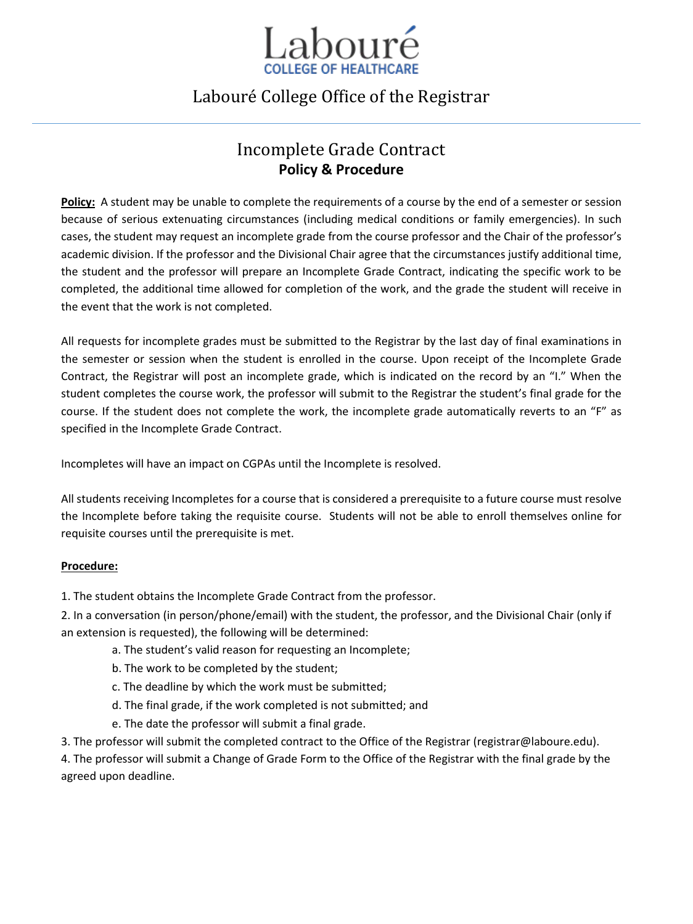

## Labouré College Office of the Registrar

## Incomplete Grade Contract **Policy & Procedure**

**Policy:** A student may be unable to complete the requirements of a course by the end of a semester or session because of serious extenuating circumstances (including medical conditions or family emergencies). In such cases, the student may request an incomplete grade from the course professor and the Chair of the professor's academic division. If the professor and the Divisional Chair agree that the circumstances justify additional time, the student and the professor will prepare an Incomplete Grade Contract, indicating the specific work to be completed, the additional time allowed for completion of the work, and the grade the student will receive in the event that the work is not completed.

All requests for incomplete grades must be submitted to the Registrar by the last day of final examinations in the semester or session when the student is enrolled in the course. Upon receipt of the Incomplete Grade Contract, the Registrar will post an incomplete grade, which is indicated on the record by an "I." When the student completes the course work, the professor will submit to the Registrar the student's final grade for the course. If the student does not complete the work, the incomplete grade automatically reverts to an "F" as specified in the Incomplete Grade Contract.

Incompletes will have an impact on CGPAs until the Incomplete is resolved.

All students receiving Incompletes for a course that is considered a prerequisite to a future course must resolve the Incomplete before taking the requisite course. Students will not be able to enroll themselves online for requisite courses until the prerequisite is met.

## **Procedure:**

1. The student obtains the Incomplete Grade Contract from the professor.

2. In a conversation (in person/phone/email) with the student, the professor, and the Divisional Chair (only if an extension is requested), the following will be determined:

- a. The student's valid reason for requesting an Incomplete;
	- b. The work to be completed by the student;
	- c. The deadline by which the work must be submitted;
	- d. The final grade, if the work completed is not submitted; and
	- e. The date the professor will submit a final grade.
- 3. The professor will submit the completed contract to the Office of the Registrar (registrar@laboure.edu).

4. The professor will submit a Change of Grade Form to the Office of the Registrar with the final grade by the agreed upon deadline.